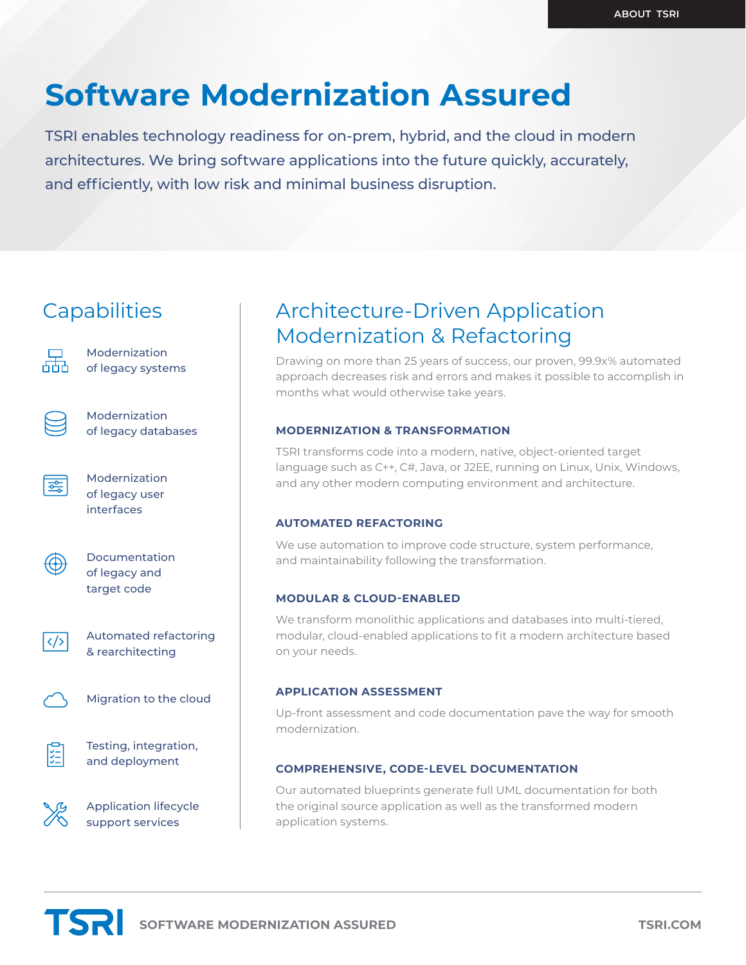## **Software Modernization Assured**

TSRI enables technology readiness for on-prem, hybrid, and the cloud in modern architectures. We bring software applications into the future quickly, accurately, and efficiently, with low risk and minimal business disruption.

### **Capabilities**



Modernization of legacy systems



Modernization of legacy databases

亲

Modernization of legacy user interfaces



Documentation of legacy and target code



Automated refactoring & rearchitecting



Migration to the cloud



Testing, integration, and deployment

Application lifecycle support services

## Architecture-Driven Application Modernization & Refactoring

Drawing on more than 25 years of success, our proven, 99.9x% automated approach decreases risk and errors and makes it possible to accomplish in months what would otherwise take years.

#### **MODERNIZATION & TRANSFORMATION**

TSRI transforms code into a modern, native, object-oriented target language such as C++, C#, Java, or J2EE, running on Linux, Unix, Windows, and any other modern computing environment and architecture.

#### **AUTOMATED REFACTORING**

We use automation to improve code structure, system performance, and maintainability following the transformation.

#### **MODULAR & CLOUD-ENABLED**

We transform monolithic applications and databases into multi-tiered, modular, cloud-enabled applications to fit a modern architecture based on your needs.

#### **APPLICATION ASSESSMENT**

Up-front assessment and code documentation pave the way for smooth modernization.

#### **COMPREHENSIVE, CODE-LEVEL DOCUMENTATION**

Our automated blueprints generate full UML documentation for both the original source application as well as the transformed modern application systems.